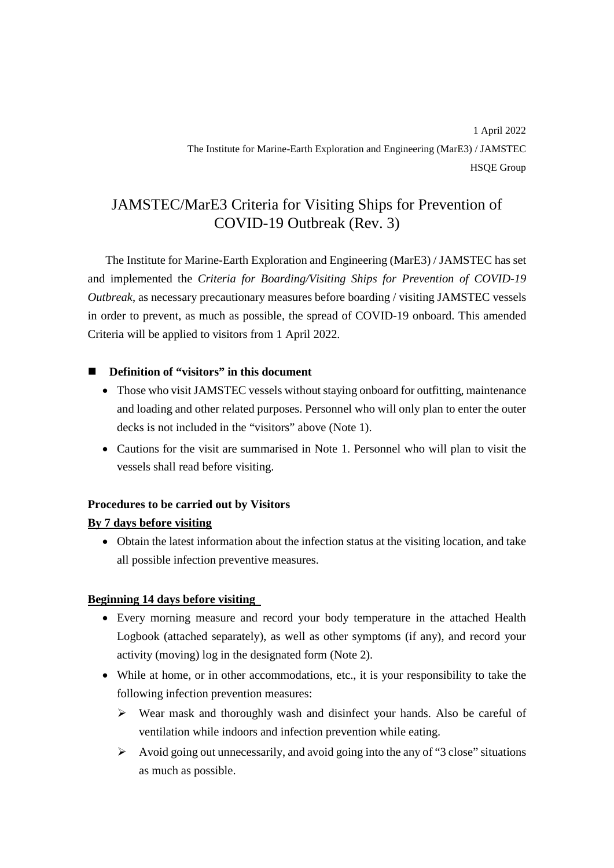# JAMSTEC/MarE3 Criteria for Visiting Ships for Prevention of COVID-19 Outbreak (Rev. 3)

The Institute for Marine-Earth Exploration and Engineering (MarE3) / JAMSTEC has set and implemented the *Criteria for Boarding/Visiting Ships for Prevention of COVID-19 Outbreak*, as necessary precautionary measures before boarding / visiting JAMSTEC vessels in order to prevent, as much as possible, the spread of COVID-19 onboard. This amended Criteria will be applied to visitors from 1 April 2022.

#### **Definition of "visitors" in this document**

- Those who visit JAMSTEC vessels without staying onboard for outfitting, maintenance and loading and other related purposes. Personnel who will only plan to enter the outer decks is not included in the "visitors" above (Note 1).
- Cautions for the visit are summarised in Note 1. Personnel who will plan to visit the vessels shall read before visiting.

#### **Procedures to be carried out by Visitors**

#### **By 7 days before visiting**

• Obtain the latest information about the infection status at the visiting location, and take all possible infection preventive measures.

#### **Beginning 14 days before visiting**

- Every morning measure and record your body temperature in the attached Health Logbook (attached separately), as well as other symptoms (if any), and record your activity (moving) log in the designated form (Note 2).
- While at home, or in other accommodations, etc., it is your responsibility to take the following infection prevention measures:
	- $\triangleright$  Wear mask and thoroughly wash and disinfect your hands. Also be careful of ventilation while indoors and infection prevention while eating.
	- $\triangleright$  Avoid going out unnecessarily, and avoid going into the any of "3 close" situations as much as possible.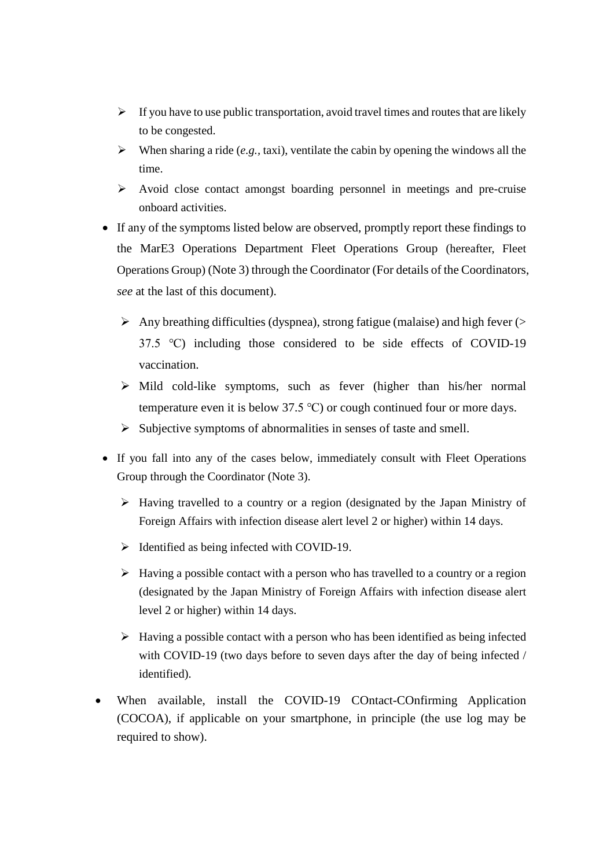- $\triangleright$  If you have to use public transportation, avoid travel times and routes that are likely to be congested.
- $\triangleright$  When sharing a ride (*e.g.*, taxi), ventilate the cabin by opening the windows all the time.
- $\triangleright$  Avoid close contact amongst boarding personnel in meetings and pre-cruise onboard activities.
- If any of the symptoms listed below are observed, promptly report these findings to the MarE3 Operations Department Fleet Operations Group (hereafter, Fleet Operations Group) (Note 3) through the Coordinator (For details of the Coordinators, *see* at the last of this document).
	- $\triangleright$  Any breathing difficulties (dyspnea), strong fatigue (malaise) and high fever ( $\triangleright$ 37.5 ℃) including those considered to be side effects of COVID-19 vaccination.
	- $\triangleright$  Mild cold-like symptoms, such as fever (higher than his/her normal temperature even it is below 37.5 ℃) or cough continued four or more days.
	- $\triangleright$  Subjective symptoms of abnormalities in senses of taste and smell.
- If you fall into any of the cases below, immediately consult with Fleet Operations Group through the Coordinator (Note 3).
	- $\triangleright$  Having travelled to a country or a region (designated by the Japan Ministry of Foreign Affairs with infection disease alert level 2 or higher) within 14 days.
	- $\triangleright$  Identified as being infected with COVID-19.
	- $\triangleright$  Having a possible contact with a person who has travelled to a country or a region (designated by the Japan Ministry of Foreign Affairs with infection disease alert level 2 or higher) within 14 days.
	- $\triangleright$  Having a possible contact with a person who has been identified as being infected with COVID-19 (two days before to seven days after the day of being infected / identified).
- When available, install the COVID-19 COntact-COnfirming Application (COCOA), if applicable on your smartphone, in principle (the use log may be required to show).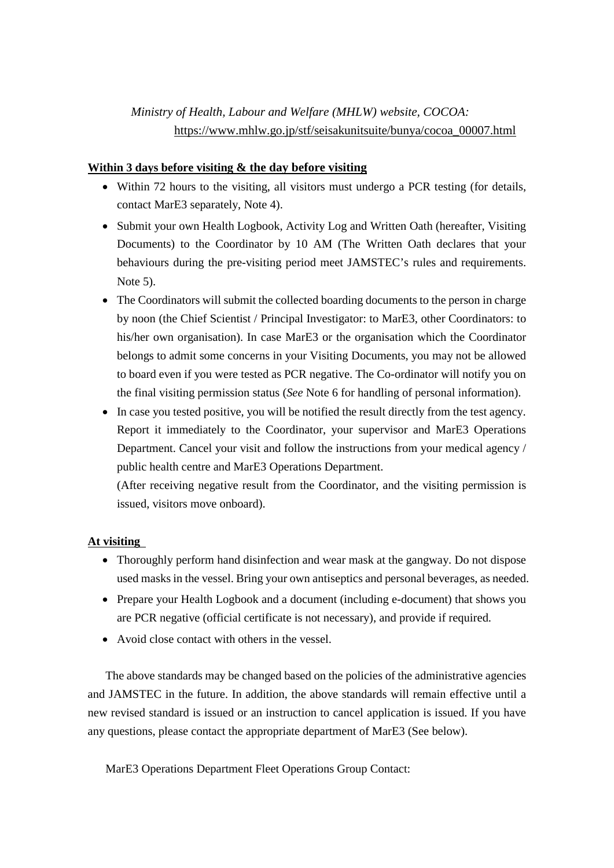# *Ministry of Health, Labour and Welfare (MHLW) website, COCOA:* [https://www.mhlw.go.jp/stf/seisakunitsuite/bunya/cocoa\\_00007.html](https://www.mhlw.go.jp/stf/seisakunitsuite/bunya/cocoa_00007.html)

#### **Within 3 days before visiting & the day before visiting**

- Within 72 hours to the visiting, all visitors must undergo a PCR testing (for details, contact MarE3 separately, Note 4).
- Submit your own Health Logbook, Activity Log and Written Oath (hereafter, Visiting Documents) to the Coordinator by 10 AM (The Written Oath declares that your behaviours during the pre-visiting period meet JAMSTEC's rules and requirements. Note 5).
- The Coordinators will submit the collected boarding documents to the person in charge by noon (the Chief Scientist / Principal Investigator: to MarE3, other Coordinators: to his/her own organisation). In case MarE3 or the organisation which the Coordinator belongs to admit some concerns in your Visiting Documents, you may not be allowed to board even if you were tested as PCR negative. The Co-ordinator will notify you on the final visiting permission status (*See* Note 6 for handling of personal information).
- In case you tested positive, you will be notified the result directly from the test agency. Report it immediately to the Coordinator, your supervisor and MarE3 Operations Department. Cancel your visit and follow the instructions from your medical agency / public health centre and MarE3 Operations Department.

(After receiving negative result from the Coordinator, and the visiting permission is issued, visitors move onboard).

### **At visiting**

- Thoroughly perform hand disinfection and wear mask at the gangway. Do not dispose used masks in the vessel. Bring your own antiseptics and personal beverages, as needed.
- Prepare your Health Logbook and a document (including e-document) that shows you are PCR negative (official certificate is not necessary), and provide if required.
- Avoid close contact with others in the vessel.

The above standards may be changed based on the policies of the administrative agencies and JAMSTEC in the future. In addition, the above standards will remain effective until a new revised standard is issued or an instruction to cancel application is issued. If you have any questions, please contact the appropriate department of MarE3 (See below).

MarE3 Operations Department Fleet Operations Group Contact: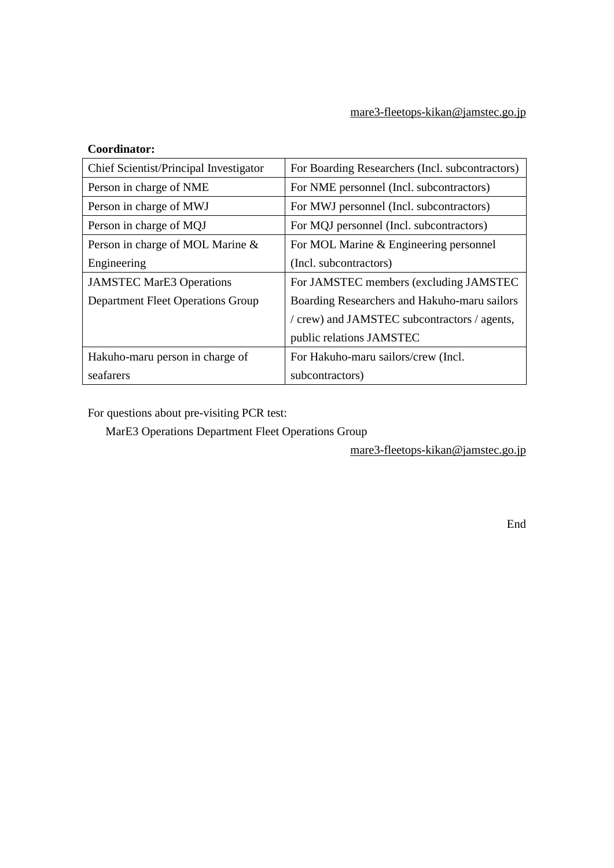| Coordinator:                             |                                                 |
|------------------------------------------|-------------------------------------------------|
| Chief Scientist/Principal Investigator   | For Boarding Researchers (Incl. subcontractors) |
| Person in charge of NME                  | For NME personnel (Incl. subcontractors)        |
| Person in charge of MWJ                  | For MWJ personnel (Incl. subcontractors)        |
| Person in charge of MQJ                  | For MQJ personnel (Incl. subcontractors)        |
| Person in charge of MOL Marine &         | For MOL Marine & Engineering personnel          |
| Engineering                              | (Incl. subcontractors)                          |
| <b>JAMSTEC MarE3 Operations</b>          | For JAMSTEC members (excluding JAMSTEC)         |
| <b>Department Fleet Operations Group</b> | Boarding Researchers and Hakuho-maru sailors    |
|                                          | / crew) and JAMSTEC subcontractors / agents,    |
|                                          | public relations JAMSTEC                        |
| Hakuho-maru person in charge of          | For Hakuho-maru sailors/crew (Incl.             |
| seafarers                                | subcontractors)                                 |

For questions about pre-visiting PCR test:

MarE3 Operations Department Fleet Operations Group

[mare3-fleetops-kikan@jamstec.go.jp](mailto:mare3-fleetops-kikan@jamstec.go.jp)

End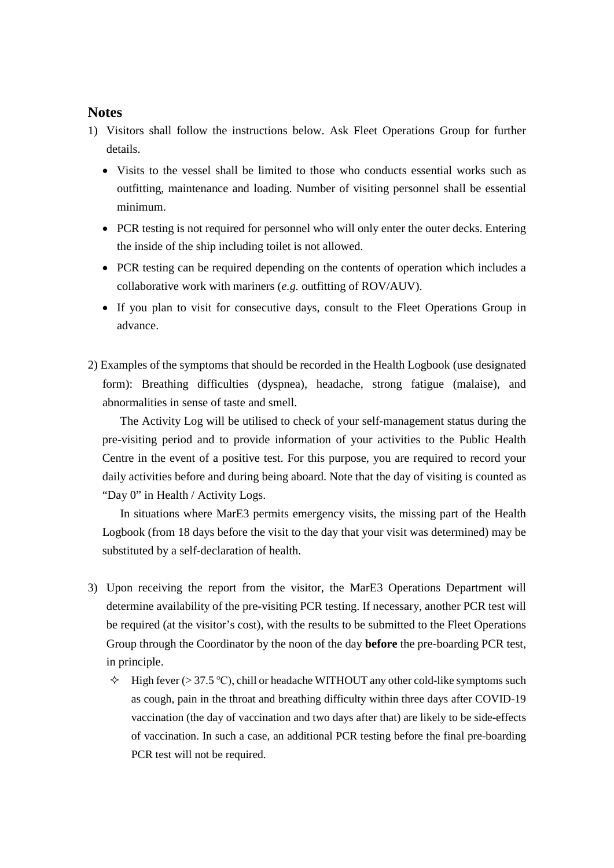## **Notes**

- 1) Visitors shall follow the instructions below. Ask Fleet Operations Group for further details.
	- Visits to the vessel shall be limited to those who conducts essential works such as outfitting, maintenance and loading. Number of visiting personnel shall be essential minimum.
	- PCR testing is not required for personnel who will only enter the outer decks. Entering the inside of the ship including toilet is not allowed.
	- PCR testing can be required depending on the contents of operation which includes a collaborative work with mariners (*e.g.* outfitting of ROV/AUV).
	- If you plan to visit for consecutive days, consult to the Fleet Operations Group in advance.
- 2) Examples of the symptoms that should be recorded in the Health Logbook (use designated form): Breathing difficulties (dyspnea), headache, strong fatigue (malaise), and abnormalities in sense of taste and smell.

The Activity Log will be utilised to check of your self-management status during the pre-visiting period and to provide information of your activities to the Public Health Centre in the event of a positive test. For this purpose, you are required to record your daily activities before and during being aboard. Note that the day of visiting is counted as "Day 0" in Health / Activity Logs.

In situations where MarE3 permits emergency visits, the missing part of the Health Logbook (from 18 days before the visit to the day that your visit was determined) may be substituted by a self-declaration of health.

- 3) Upon receiving the report from the visitor, the MarE3 Operations Department will determine availability of the pre-visiting PCR testing. If necessary, another PCR test will be required (at the visitor's cost), with the results to be submitted to the Fleet Operations Group through the Coordinator by the noon of the day **before** the pre-boarding PCR test, in principle.
	- $\Diamond$  High fever (> 37.5 °C), chill or headache WITHOUT any other cold-like symptoms such as cough, pain in the throat and breathing difficulty within three days after COVID-19 vaccination (the day of vaccination and two days after that) are likely to be side-effects of vaccination. In such a case, an additional PCR testing before the final pre-boarding PCR test will not be required.